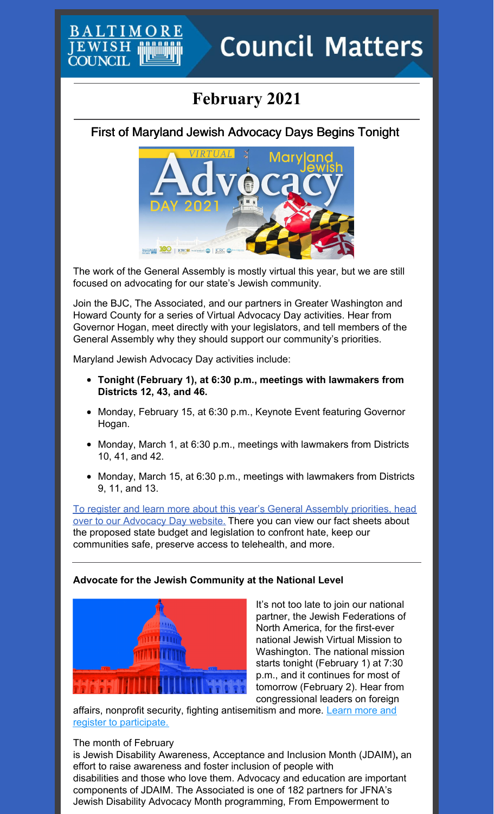# **February 2021**

## First of Maryland Jewish Advocacy Days Begins Tonight



The work of the General Assembly is mostly virtual this year, but we are still focused on advocating for our state's Jewish community.

Join the BJC, The Associated, and our partners in Greater Washington and Howard County for a series of Virtual Advocacy Day activities. Hear from Governor Hogan, meet directly with your legislators, and tell members of the General Assembly why they should support our community's priorities.

Maryland Jewish Advocacy Day activities include:

EWISH **COUNCIL** 

- **Tonight (February 1), at 6:30 p.m., meetings with lawmakers from Districts 12, 43, and 46.**
- Monday, February 15, at 6:30 p.m., Keynote Event featuring Governor Hogan.
- Monday, March 1, at 6:30 p.m., meetings with lawmakers from Districts 10, 41, and 42.
- Monday, March 15, at 6:30 p.m., meetings with lawmakers from Districts 9, 11, and 13.

To register and learn more about this year's General Assembly priorities, head over to our [Advocacy](https://www.baltjc.org/what-we-do/government-relations/advocacy-day/) Day website. There you can view our fact sheets about the proposed state budget and legislation to confront hate, keep our communities safe, preserve access to telehealth, and more.

### **Advocate for the Jewish Community at the National Level**



It's not too late to join our national partner, the Jewish Federations of North America, for the first-ever national Jewish Virtual Mission to Washington. The national mission starts tonight (February 1) at 7:30 p.m., and it continues for most of tomorrow (February 2). Hear from congressional leaders on foreign

affairs, nonprofit security, fighting [antisemitism](https://jewishfederations.org/dcmission) and more. Learn more and register to participate.

### The month of February

is Jewish Disability Awareness, Acceptance and Inclusion Month (JDAIM)**,** an effort to raise awareness and foster inclusion of people with disabilities and those who love them. Advocacy and education are important components of JDAIM. The Associated is one of 182 partners for JFNA's Jewish Disability Advocacy Month programming, From Empowerment to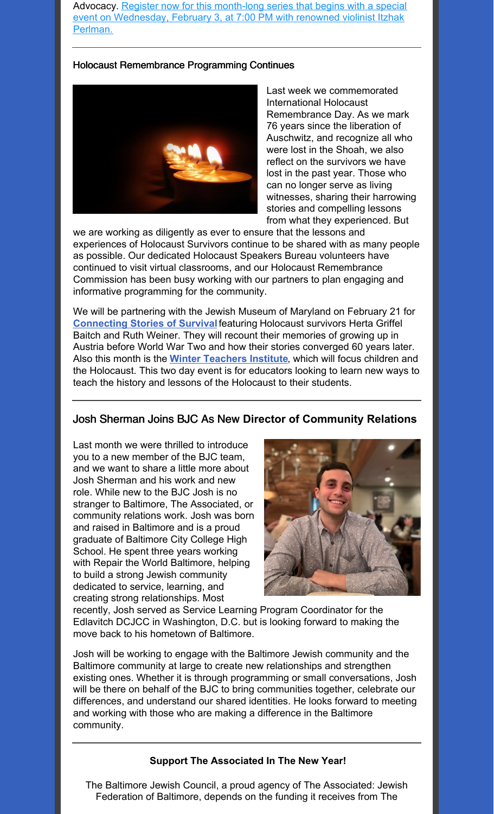Advocacy. Register now for this month-long series that begins with a special event on [Wednesday,](https://www.jewishtogether.org/jdam) February 3, at 7:00 PM with renowned violinist Itzhak Perlman.

### Holocaust Remembrance Programming Continues



Last week we commemorated International Holocaust Remembrance Day. As we mark 76 years since the liberation of Auschwitz, and recognize all who were lost in the Shoah, we also reflect on the survivors we have lost in the past year. Those who can no longer serve as living witnesses, sharing their harrowing stories and compelling lessons from what they experienced. But

we are working as diligently as ever to ensure that the lessons and experiences of Holocaust Survivors continue to be shared with as many people as possible. Our dedicated Holocaust Speakers Bureau volunteers have continued to visit virtual classrooms, and our Holocaust Remembrance Commission has been busy working with our partners to plan engaging and informative programming for the community.

We will be partnering with the Jewish Museum of Maryland on February 21 for **[Connecting](https://jewishmuseummd.org/events/connecting-stories-of-survival/) Stories of Survival** featuring Holocaust survivors Herta Griffel Baitch and Ruth Weiner. They will recount their memories of growing up in Austria before World War Two and how their stories converged 60 years later. Also this month is the **Winter [Teachers](https://docs.google.com/forms/d/1aZI3ARGutxPPF4ZkDDjcqqqA-eNLT61rD6P2hdWlXxg/viewform?edit_requested=true) Institute**, which will focus children and the Holocaust. This two day event is for educators looking to learn new ways to teach the history and lessons of the Holocaust to their students.

### Josh Sherman Joins BJC As New **Director of Community Relations**

Last month we were thrilled to introduce you to a new member of the BJC team, and we want to share a little more about Josh Sherman and his work and new role. While new to the BJC Josh is no stranger to Baltimore, The Associated, or community relations work. Josh was born and raised in Baltimore and is a proud graduate of Baltimore City College High School. He spent three years working with Repair the World Baltimore, helping to build a strong Jewish community dedicated to service, learning, and creating strong relationships. Most



recently, Josh served as Service Learning Program Coordinator for the Edlavitch DCJCC in Washington, D.C. but is looking forward to making the move back to his hometown of Baltimore.

Josh will be working to engage with the Baltimore Jewish community and the Baltimore community at large to create new relationships and strengthen existing ones. Whether it is through programming or small conversations, Josh will be there on behalf of the BJC to bring communities together, celebrate our differences, and understand our shared identities. He looks forward to meeting and working with those who are making a difference in the Baltimore community.

### **Support The Associated In The New Year!**

The Baltimore Jewish Council, a proud agency of The Associated: Jewish Federation of Baltimore, depends on the funding it receives from The